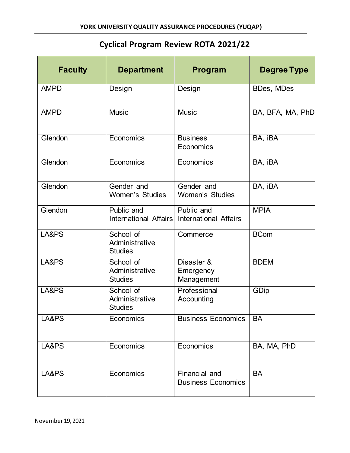## **Cyclical Program Review ROTA 2021/22**

| <b>Faculty</b> | <b>Department</b>                             | Program                                    | <b>Degree Type</b> |
|----------------|-----------------------------------------------|--------------------------------------------|--------------------|
| <b>AMPD</b>    | Design                                        | Design                                     | <b>BDes, MDes</b>  |
| <b>AMPD</b>    | <b>Music</b>                                  | <b>Music</b>                               | BA, BFA, MA, PhD   |
| Glendon        | Economics                                     | <b>Business</b><br>Economics               | BA, iBA            |
| Glendon        | Economics                                     | Economics                                  | BA, iBA            |
| Glendon        | Gender and<br><b>Women's Studies</b>          | Gender and<br><b>Women's Studies</b>       | BA, iBA            |
| Glendon        | Public and<br>International Affairs           | Public and<br><b>International Affairs</b> | <b>MPIA</b>        |
| LA&PS          | School of<br>Administrative<br><b>Studies</b> | Commerce                                   | <b>BCom</b>        |
| LA&PS          | School of<br>Administrative<br><b>Studies</b> | Disaster &<br>Emergency<br>Management      | <b>BDEM</b>        |
| LA&PS          | School of<br>Administrative<br><b>Studies</b> | Professional<br>Accounting                 | GDip               |
| LA&PS          | Economics                                     | <b>Business Economics</b>                  | <b>BA</b>          |
| LA&PS          | Economics                                     | Economics                                  | BA, MA, PhD        |
| LA&PS          | Economics                                     | Financial and<br><b>Business Economics</b> | <b>BA</b>          |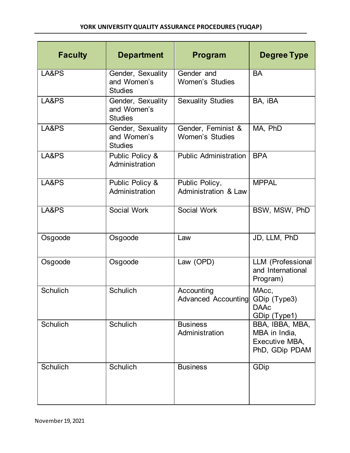| <b>Faculty</b>  | <b>Department</b>                                  | Program                                      | Degree Type                                                          |
|-----------------|----------------------------------------------------|----------------------------------------------|----------------------------------------------------------------------|
| LA&PS           | Gender, Sexuality<br>and Women's<br><b>Studies</b> | Gender and<br><b>Women's Studies</b>         | <b>BA</b>                                                            |
| LA&PS           | Gender, Sexuality<br>and Women's<br><b>Studies</b> | <b>Sexuality Studies</b>                     | BA, iBA                                                              |
| LA&PS           | Gender, Sexuality<br>and Women's<br><b>Studies</b> | Gender, Feminist &<br><b>Women's Studies</b> | MA, PhD                                                              |
| LA&PS           | Public Policy &<br>Administration                  | <b>Public Administration</b>                 | <b>BPA</b>                                                           |
| LA&PS           | Public Policy &<br>Administration                  | Public Policy,<br>Administration & Law       | <b>MPPAL</b>                                                         |
| LA&PS           | Social Work                                        | Social Work                                  | BSW, MSW, PhD                                                        |
| Osgoode         | Osgoode                                            | Law                                          | JD, LLM, PhD                                                         |
| Osgoode         | Osgoode                                            | Law (OPD)                                    | LLM (Professional<br>and International<br>Program)                   |
| <b>Schulich</b> | <b>Schulich</b>                                    | Accounting<br>Advanced Accounting            | MAcc,<br>GDip (Type3)<br><b>DAAc</b><br>GDip (Type1)                 |
| Schulich        | Schulich                                           | <b>Business</b><br>Administration            | BBA, IBBA, MBA,<br>MBA in India,<br>Executive MBA,<br>PhD, GDip PDAM |
| <b>Schulich</b> | Schulich                                           | <b>Business</b>                              | GDip                                                                 |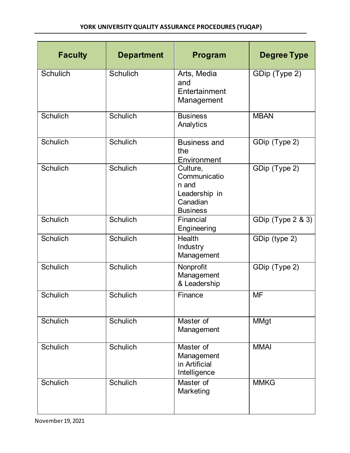| <b>Faculty</b>  | <b>Department</b> | Program                                                                           | <b>Degree Type</b> |
|-----------------|-------------------|-----------------------------------------------------------------------------------|--------------------|
| <b>Schulich</b> | <b>Schulich</b>   | Arts, Media<br>and<br>Entertainment<br>Management                                 | GDip (Type 2)      |
| <b>Schulich</b> | Schulich          | <b>Business</b><br>Analytics                                                      | <b>MBAN</b>        |
| Schulich        | <b>Schulich</b>   | <b>Business and</b><br>the<br>Environment                                         | GDip (Type 2)      |
| <b>Schulich</b> | <b>Schulich</b>   | Culture,<br>Communicatio<br>n and<br>Leadership in<br>Canadian<br><b>Business</b> | GDip (Type 2)      |
| <b>Schulich</b> | <b>Schulich</b>   | Financial<br>Engineering                                                          | GDip (Type 2 & 3)  |
| <b>Schulich</b> | <b>Schulich</b>   | <b>Health</b><br>Industry<br>Management                                           | GDip (type 2)      |
| <b>Schulich</b> | <b>Schulich</b>   | Nonprofit<br>Management<br>& Leadership                                           | GDip (Type 2)      |
| <b>Schulich</b> | <b>Schulich</b>   | Finance                                                                           | <b>MF</b>          |
| <b>Schulich</b> | Schulich          | Master of<br>Management                                                           | <b>MMgt</b>        |
| <b>Schulich</b> | <b>Schulich</b>   | Master of<br>Management<br>in Artificial<br>Intelligence                          | <b>MMAI</b>        |
| Schulich        | Schulich          | Master of<br>Marketing                                                            | <b>MMKG</b>        |